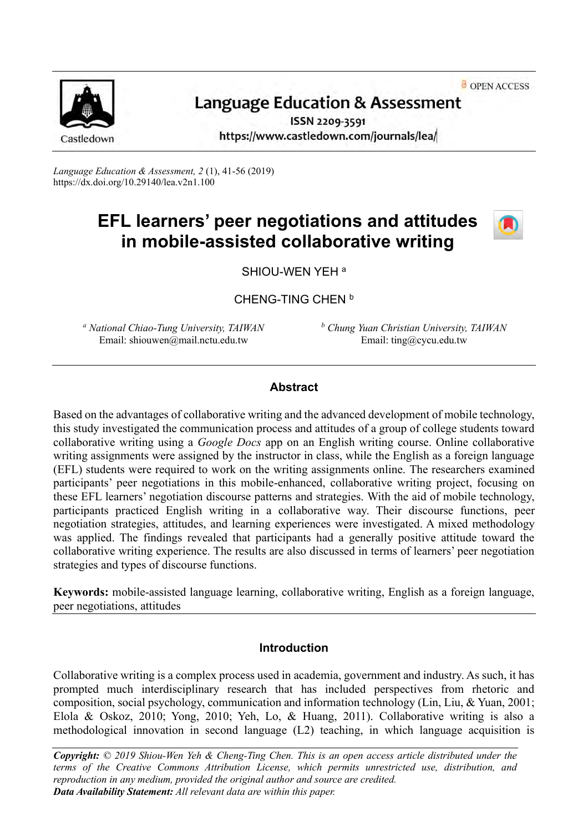OPEN ACCESS



# **Language Education & Assessment**

ISSN 2209-3591 https://www.castledown.com/journals/lea/

*Language Education & Assessment, 2* (1), 41-56 (2019) <https://dx.doi.org/10.29140/lea.v2n1.100>

# **EFL learners' peer negotiations and attitudes in mobile-assisted collaborative writing**



SHIOU-WEN YEH <sup>a</sup>

CHENG-TING CHEN<sup>b</sup>

*<sup>a</sup> National Chiao-Tung University, TAIWAN* Email: shiouwen@mail.nctu.edu.tw

*<sup>b</sup> Chung Yuan Christian University, TAIWAN* Email: ting@cycu.edu.tw

# **Abstract**

Based on the advantages of collaborative writing and the advanced development of mobile technology, this study investigated the communication process and attitudes of a group of college students toward collaborative writing using a *Google Docs* app on an English writing course. Online collaborative writing assignments were assigned by the instructor in class, while the English as a foreign language (EFL) students were required to work on the writing assignments online. The researchers examined participants' peer negotiations in this mobile-enhanced, collaborative writing project, focusing on these EFL learners' negotiation discourse patterns and strategies. With the aid of mobile technology, participants practiced English writing in a collaborative way. Their discourse functions, peer negotiation strategies, attitudes, and learning experiences were investigated. A mixed methodology was applied. The findings revealed that participants had a generally positive attitude toward the collaborative writing experience. The results are also discussed in terms of learners' peer negotiation strategies and types of discourse functions.

**Keywords:** mobile-assisted language learning, collaborative writing, English as a foreign language, peer negotiations, attitudes

# **Introduction**

Collaborative writing is a complex process used in academia, government and industry. As such, it has prompted much interdisciplinary research that has included perspectives from rhetoric and composition, social psychology, communication and information technology (Lin, Liu, & Yuan, 2001; Elola & Oskoz, 2010; Yong, 2010; Yeh, Lo, & Huang, 2011). Collaborative writing is also a methodological innovation in second language (L2) teaching, in which language acquisition is

*Copyright: © 2019 Shiou-Wen Yeh & Cheng-Ting Chen. This is an open access article distributed under the terms of the [Creative Commons Attribution License,](http://creativecommons.org/licenses/by-nc-nd/4.0) which permits unrestricted use, distribution, and reproduction in any medium, provided the original author and source are credited. Data Availability Statement: All relevant data are within this paper.*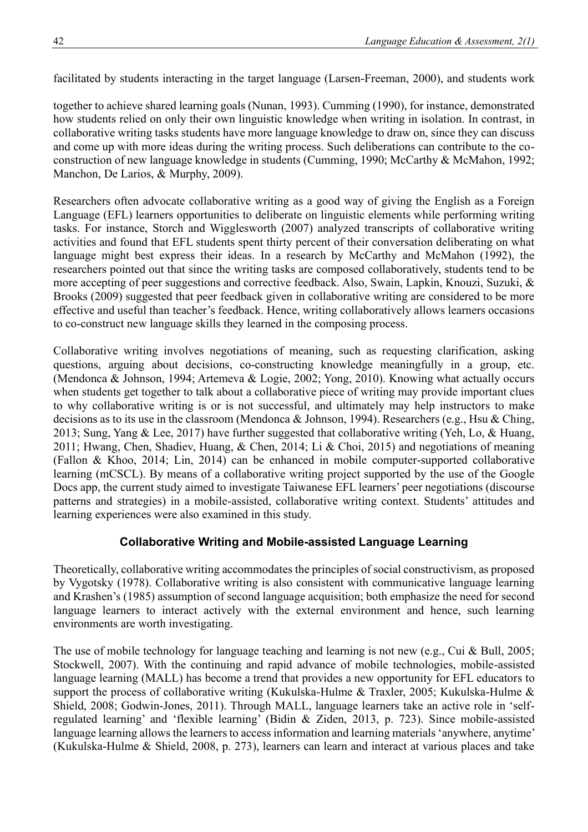facilitated by students interacting in the target language (Larsen-Freeman, 2000), and students work

together to achieve shared learning goals (Nunan, 1993). Cumming (1990), for instance, demonstrated how students relied on only their own linguistic knowledge when writing in isolation. In contrast, in collaborative writing tasks students have more language knowledge to draw on, since they can discuss and come up with more ideas during the writing process. Such deliberations can contribute to the coconstruction of new language knowledge in students (Cumming, 1990; McCarthy & McMahon, 1992; Manchon, De Larios, & Murphy, 2009).

Researchers often advocate collaborative writing as a good way of giving the English as a Foreign Language (EFL) learners opportunities to deliberate on linguistic elements while performing writing tasks. For instance, Storch and Wigglesworth (2007) analyzed transcripts of collaborative writing activities and found that EFL students spent thirty percent of their conversation deliberating on what language might best express their ideas. In a research by McCarthy and McMahon (1992), the researchers pointed out that since the writing tasks are composed collaboratively, students tend to be more accepting of peer suggestions and corrective feedback. Also, Swain, Lapkin, Knouzi, Suzuki, & Brooks (2009) suggested that peer feedback given in collaborative writing are considered to be more effective and useful than teacher's feedback. Hence, writing collaboratively allows learners occasions to co-construct new language skills they learned in the composing process.

Collaborative writing involves negotiations of meaning, such as requesting clarification, asking questions, arguing about decisions, co-constructing knowledge meaningfully in a group, etc. (Mendonca & Johnson, 1994; Artemeva & Logie, 2002; Yong, 2010). Knowing what actually occurs when students get together to talk about a collaborative piece of writing may provide important clues to why collaborative writing is or is not successful, and ultimately may help instructors to make decisions as to its use in the classroom (Mendonca & Johnson, 1994). Researchers (e.g., Hsu & Ching, 2013; Sung, Yang & Lee, 2017) have further suggested that collaborative writing (Yeh, Lo, & Huang, 2011; Hwang, Chen, Shadiev, Huang, & Chen, 2014; Li & Choi, 2015) and negotiations of meaning (Fallon & Khoo, 2014; Lin, 2014) can be enhanced in mobile computer-supported collaborative learning (mCSCL). By means of a collaborative writing project supported by the use of the Google Docs app, the current study aimed to investigate Taiwanese EFL learners' peer negotiations (discourse patterns and strategies) in a mobile-assisted, collaborative writing context. Students' attitudes and learning experiences were also examined in this study.

## **Collaborative Writing and Mobile-assisted Language Learning**

Theoretically, collaborative writing accommodates the principles of social constructivism, as proposed by Vygotsky (1978). Collaborative writing is also consistent with communicative language learning and Krashen's (1985) assumption of second language acquisition; both emphasize the need for second language learners to interact actively with the external environment and hence, such learning environments are worth investigating.

The use of mobile technology for language teaching and learning is not new (e.g., Cui & Bull, 2005; Stockwell, 2007). With the continuing and rapid advance of mobile technologies, mobile-assisted language learning (MALL) has become a trend that provides a new opportunity for EFL educators to support the process of collaborative writing (Kukulska-Hulme & Traxler, 2005; Kukulska-Hulme & Shield, 2008; Godwin-Jones, 2011). Through MALL, language learners take an active role in 'selfregulated learning' and 'flexible learning' (Bidin & Ziden, 2013, p. 723). Since mobile-assisted language learning allows the learners to access information and learning materials 'anywhere, anytime' (Kukulska-Hulme & Shield, 2008, p. 273), learners can learn and interact at various places and take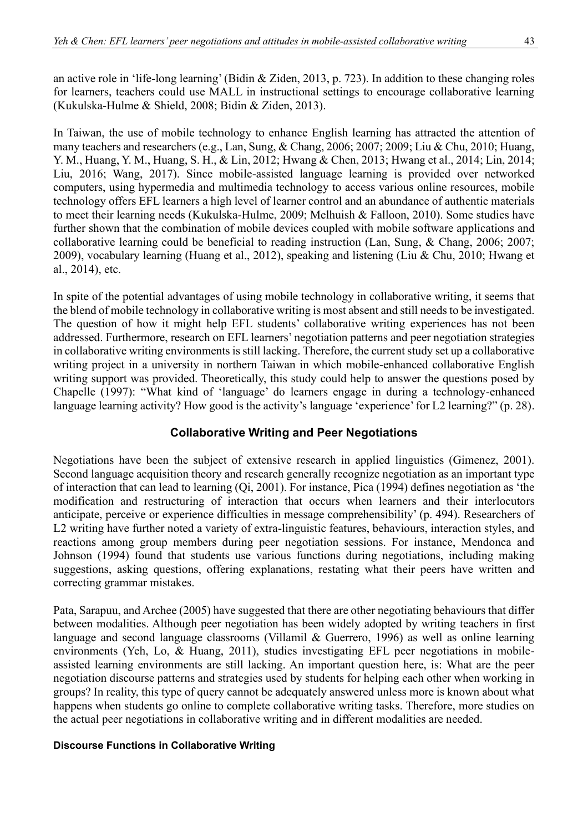an active role in 'life-long learning' (Bidin & Ziden, 2013, p. 723). In addition to these changing roles for learners, teachers could use MALL in instructional settings to encourage collaborative learning (Kukulska-Hulme & Shield, 2008; Bidin & Ziden, 2013).

In Taiwan, the use of mobile technology to enhance English learning has attracted the attention of many teachers and researchers (e.g., Lan, Sung, & Chang, 2006; 2007; 2009; Liu & Chu, 2010; Huang, Y. M., Huang, Y. M., Huang, S. H., & Lin, 2012; Hwang & Chen, 2013; Hwang et al., 2014; Lin, 2014; Liu, 2016; Wang, 2017). Since mobile-assisted language learning is provided over networked computers, using hypermedia and multimedia technology to access various online resources, mobile technology offers EFL learners a high level of learner control and an abundance of authentic materials to meet their learning needs (Kukulska-Hulme, 2009; Melhuish & Falloon, 2010). Some studies have further shown that the combination of mobile devices coupled with mobile software applications and collaborative learning could be beneficial to reading instruction (Lan, Sung, & Chang, 2006; 2007; 2009), vocabulary learning (Huang et al., 2012), speaking and listening (Liu & Chu, 2010; Hwang et al., 2014), etc.

In spite of the potential advantages of using mobile technology in collaborative writing, it seems that the blend of mobile technology in collaborative writing is most absent and still needs to be investigated. The question of how it might help EFL students' collaborative writing experiences has not been addressed. Furthermore, research on EFL learners' negotiation patterns and peer negotiation strategies in collaborative writing environments is still lacking. Therefore, the current study set up a collaborative writing project in a university in northern Taiwan in which mobile-enhanced collaborative English writing support was provided. Theoretically, this study could help to answer the questions posed by Chapelle (1997): "What kind of 'language' do learners engage in during a technology-enhanced language learning activity? How good is the activity's language 'experience' for L2 learning?" (p. 28).

## **Collaborative Writing and Peer Negotiations**

Negotiations have been the subject of extensive research in applied linguistics (Gimenez, 2001). Second language acquisition theory and research generally recognize negotiation as an important type of interaction that can lead to learning (Qi, 2001). For instance, Pica (1994) defines negotiation as 'the modification and restructuring of interaction that occurs when learners and their interlocutors anticipate, perceive or experience difficulties in message comprehensibility' (p. 494). Researchers of L2 writing have further noted a variety of extra-linguistic features, behaviours, interaction styles, and reactions among group members during peer negotiation sessions. For instance, Mendonca and Johnson (1994) found that students use various functions during negotiations, including making suggestions, asking questions, offering explanations, restating what their peers have written and correcting grammar mistakes.

Pata, Sarapuu, and Archee (2005) have suggested that there are other negotiating behaviours that differ between modalities. Although peer negotiation has been widely adopted by writing teachers in first language and second language classrooms (Villamil & Guerrero, 1996) as well as online learning environments (Yeh, Lo, & Huang, 2011), studies investigating EFL peer negotiations in mobileassisted learning environments are still lacking. An important question here, is: What are the peer negotiation discourse patterns and strategies used by students for helping each other when working in groups? In reality, this type of query cannot be adequately answered unless more is known about what happens when students go online to complete collaborative writing tasks. Therefore, more studies on the actual peer negotiations in collaborative writing and in different modalities are needed.

#### **Discourse Functions in Collaborative Writing**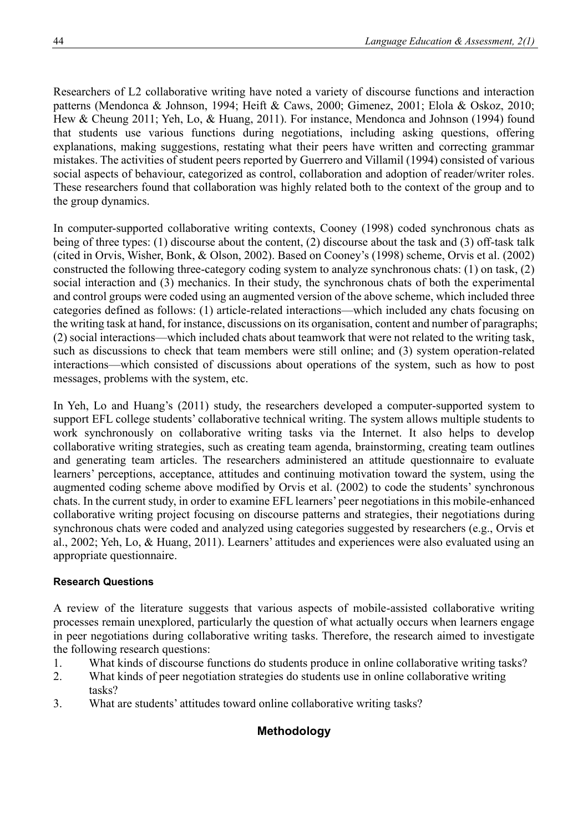Researchers of L2 collaborative writing have noted a variety of discourse functions and interaction patterns (Mendonca & Johnson, 1994; Heift & Caws, 2000; Gimenez, 2001; Elola & Oskoz, 2010; Hew & Cheung 2011; Yeh, Lo, & Huang, 2011). For instance, Mendonca and Johnson (1994) found that students use various functions during negotiations, including asking questions, offering explanations, making suggestions, restating what their peers have written and correcting grammar mistakes. The activities of student peers reported by Guerrero and Villamil (1994) consisted of various social aspects of behaviour, categorized as control, collaboration and adoption of reader/writer roles. These researchers found that collaboration was highly related both to the context of the group and to the group dynamics.

In computer-supported collaborative writing contexts, Cooney (1998) coded synchronous chats as being of three types: (1) discourse about the content, (2) discourse about the task and (3) off-task talk (cited in Orvis, Wisher, Bonk, & Olson, 2002). Based on Cooney's (1998) scheme, Orvis et al. (2002) constructed the following three-category coding system to analyze synchronous chats: (1) on task, (2) social interaction and (3) mechanics. In their study, the synchronous chats of both the experimental and control groups were coded using an augmented version of the above scheme, which included three categories defined as follows: (1) article-related interactions—which included any chats focusing on the writing task at hand, for instance, discussions on its organisation, content and number of paragraphs; (2) social interactions—which included chats about teamwork that were not related to the writing task, such as discussions to check that team members were still online; and (3) system operation-related interactions—which consisted of discussions about operations of the system, such as how to post messages, problems with the system, etc.

In Yeh, Lo and Huang's (2011) study, the researchers developed a computer-supported system to support EFL college students' collaborative technical writing. The system allows multiple students to work synchronously on collaborative writing tasks via the Internet. It also helps to develop collaborative writing strategies, such as creating team agenda, brainstorming, creating team outlines and generating team articles. The researchers administered an attitude questionnaire to evaluate learners' perceptions, acceptance, attitudes and continuing motivation toward the system, using the augmented coding scheme above modified by Orvis et al. (2002) to code the students' synchronous chats. In the current study, in order to examine EFL learners' peer negotiations in this mobile-enhanced collaborative writing project focusing on discourse patterns and strategies, their negotiations during synchronous chats were coded and analyzed using categories suggested by researchers (e.g., Orvis et al., 2002; Yeh, Lo, & Huang, 2011). Learners' attitudes and experiences were also evaluated using an appropriate questionnaire.

## **Research Questions**

A review of the literature suggests that various aspects of mobile-assisted collaborative writing processes remain unexplored, particularly the question of what actually occurs when learners engage in peer negotiations during collaborative writing tasks. Therefore, the research aimed to investigate the following research questions:

- 1. What kinds of discourse functions do students produce in online collaborative writing tasks?
- 2. What kinds of peer negotiation strategies do students use in online collaborative writing tasks?
- 3. What are students' attitudes toward online collaborative writing tasks?

# **Methodology**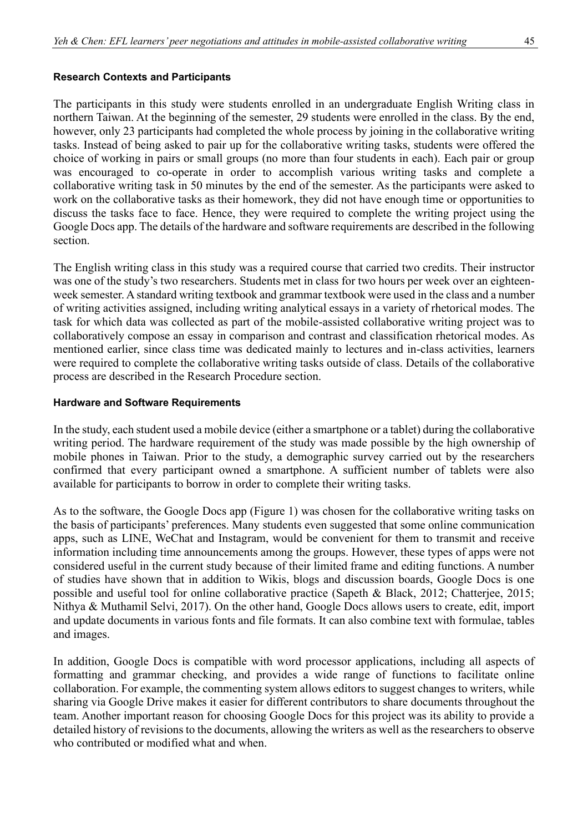#### **Research Contexts and Participants**

The participants in this study were students enrolled in an undergraduate English Writing class in northern Taiwan. At the beginning of the semester, 29 students were enrolled in the class. By the end, however, only 23 participants had completed the whole process by joining in the collaborative writing tasks. Instead of being asked to pair up for the collaborative writing tasks, students were offered the choice of working in pairs or small groups (no more than four students in each). Each pair or group was encouraged to co-operate in order to accomplish various writing tasks and complete a collaborative writing task in 50 minutes by the end of the semester. As the participants were asked to work on the collaborative tasks as their homework, they did not have enough time or opportunities to discuss the tasks face to face. Hence, they were required to complete the writing project using the Google Docs app. The details of the hardware and software requirements are described in the following section.

The English writing class in this study was a required course that carried two credits. Their instructor was one of the study's two researchers. Students met in class for two hours per week over an eighteenweek semester. A standard writing textbook and grammar textbook were used in the class and a number of writing activities assigned, including writing analytical essays in a variety of rhetorical modes. The task for which data was collected as part of the mobile-assisted collaborative writing project was to collaboratively compose an essay in comparison and contrast and classification rhetorical modes. As mentioned earlier, since class time was dedicated mainly to lectures and in-class activities, learners were required to complete the collaborative writing tasks outside of class. Details of the collaborative process are described in the Research Procedure section.

#### **Hardware and Software Requirements**

In the study, each student used a mobile device (either a smartphone or a tablet) during the collaborative writing period. The hardware requirement of the study was made possible by the high ownership of mobile phones in Taiwan. Prior to the study, a demographic survey carried out by the researchers confirmed that every participant owned a smartphone. A sufficient number of tablets were also available for participants to borrow in order to complete their writing tasks.

As to the software, the Google Docs app (Figure 1) was chosen for the collaborative writing tasks on the basis of participants' preferences. Many students even suggested that some online communication apps, such as LINE, WeChat and Instagram, would be convenient for them to transmit and receive information including time announcements among the groups. However, these types of apps were not considered useful in the current study because of their limited frame and editing functions. A number of studies have shown that in addition to Wikis, blogs and discussion boards, Google Docs is one possible and useful tool for online collaborative practice (Sapeth & Black, 2012; Chatterjee, 2015; Nithya & Muthamil Selvi, 2017). On the other hand, Google Docs allows users to create, edit, import and update documents in various fonts and file formats. It can also combine text with formulae, tables and images.

In addition, Google Docs is compatible with word processor applications, including all aspects of formatting and grammar checking, and provides a wide range of functions to facilitate online collaboration. For example, the commenting system allows editors to suggest changes to writers, while sharing via Google Drive makes it easier for different contributors to share documents throughout the team. Another important reason for choosing Google Docs for this project was its ability to provide a detailed history of revisions to the documents, allowing the writers as well as the researchers to observe who contributed or modified what and when.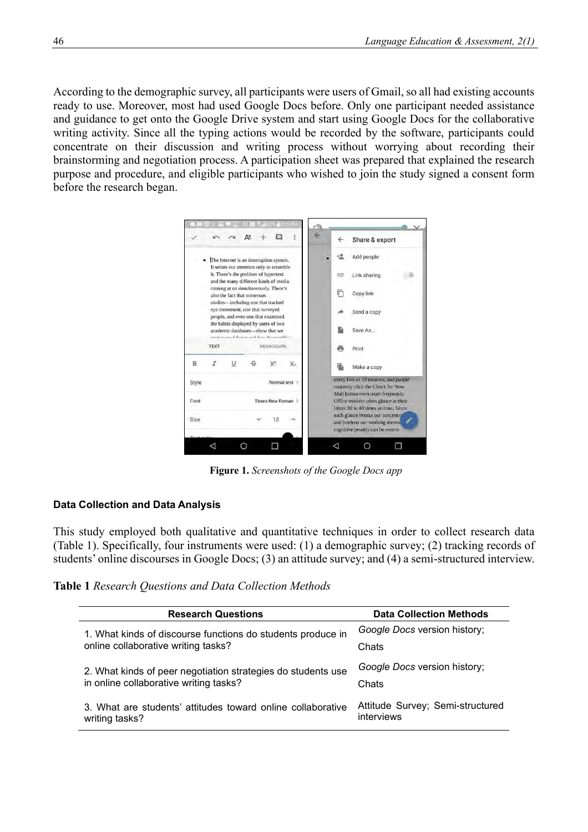According to the demographic survey, all participants were users of Gmail, so all had existing accounts ready to use. Moreover, most had used Google Docs before. Only one participant needed assistance and guidance to get onto the Google Drive system and start using Google Docs for the collaborative writing activity. Since all the typing actions would be recorded by the software, participants could concentrate on their discussion and writing process without worrying about recording their brainstorming and negotiation process. A participation sheet was prepared that explained the research purpose and procedure, and eligible participants who wished to join the study signed a consent form before the research began.



**Figure 1.** *Screenshots of the Google Docs app*

#### **Data Collection and Data Analysis**

This study employed both qualitative and quantitative techniques in order to collect research data (Table 1). Specifically, four instruments were used: (1) a demographic survey; (2) tracking records of students' online discourses in Google Docs; (3) an attitude survey; and (4) a semi-structured interview.

| Table 1 Research Questions and Data Collection Methods |  |
|--------------------------------------------------------|--|
|--------------------------------------------------------|--|

| <b>Research Questions</b>                                                     | <b>Data Collection Methods</b>                 |
|-------------------------------------------------------------------------------|------------------------------------------------|
| 1. What kinds of discourse functions do students produce in                   | Google Docs version history;                   |
| online collaborative writing tasks?                                           | Chats                                          |
| 2. What kinds of peer negotiation strategies do students use                  | Google Docs version history;                   |
| in online collaborative writing tasks?                                        | Chats                                          |
| 3. What are students' attitudes toward online collaborative<br>writing tasks? | Attitude Survey; Semi-structured<br>interviews |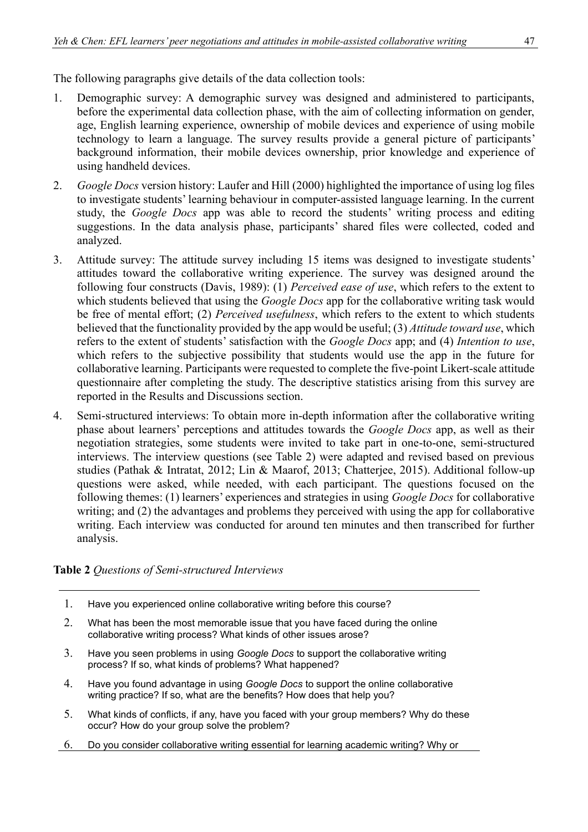The following paragraphs give details of the data collection tools:

- 1. Demographic survey: A demographic survey was designed and administered to participants, before the experimental data collection phase, with the aim of collecting information on gender, age, English learning experience, ownership of mobile devices and experience of using mobile technology to learn a language. The survey results provide a general picture of participants' background information, their mobile devices ownership, prior knowledge and experience of using handheld devices.
- 2. *Google Docs* version history: Laufer and Hill (2000) highlighted the importance of using log files to investigate students' learning behaviour in computer-assisted language learning. In the current study, the *Google Docs* app was able to record the students' writing process and editing suggestions. In the data analysis phase, participants' shared files were collected, coded and analyzed.
- 3. Attitude survey: The attitude survey including 15 items was designed to investigate students' attitudes toward the collaborative writing experience. The survey was designed around the following four constructs (Davis, 1989): (1) *Perceived ease of use*, which refers to the extent to which students believed that using the *Google Docs* app for the collaborative writing task would be free of mental effort; (2) *Perceived usefulness*, which refers to the extent to which students believed that the functionality provided by the app would be useful; (3) *Attitude toward use*, which refers to the extent of students' satisfaction with the *Google Docs* app; and (4) *Intention to use*, which refers to the subjective possibility that students would use the app in the future for collaborative learning. Participants were requested to complete the five-point Likert-scale attitude questionnaire after completing the study. The descriptive statistics arising from this survey are reported in the Results and Discussions section.
- 4. Semi-structured interviews: To obtain more in-depth information after the collaborative writing phase about learners' perceptions and attitudes towards the *Google Docs* app, as well as their negotiation strategies, some students were invited to take part in one-to-one, semi-structured interviews. The interview questions (see Table 2) were adapted and revised based on previous studies (Pathak & Intratat, 2012; Lin & Maarof, 2013; Chatterjee, 2015). Additional follow-up questions were asked, while needed, with each participant. The questions focused on the following themes: (1) learners' experiences and strategies in using *Google Docs* for collaborative writing; and (2) the advantages and problems they perceived with using the app for collaborative writing. Each interview was conducted for around ten minutes and then transcribed for further analysis.

## **Table 2** *Questions of Semi-structured Interviews*

- 1. Have you experienced online collaborative writing before this course?
- 2. What has been the most memorable issue that you have faced during the online collaborative writing process? What kinds of other issues arose?
- 3. Have you seen problems in using *Google Docs* to support the collaborative writing process? If so, what kinds of problems? What happened?
- 4. Have you found advantage in using *Google Docs* to support the online collaborative writing practice? If so, what are the benefits? How does that help you?
- 5. What kinds of conflicts, if any, have you faced with your group members? Why do these occur? How do your group solve the problem?
- 6. Do you consider collaborative writing essential for learning academic writing? Why or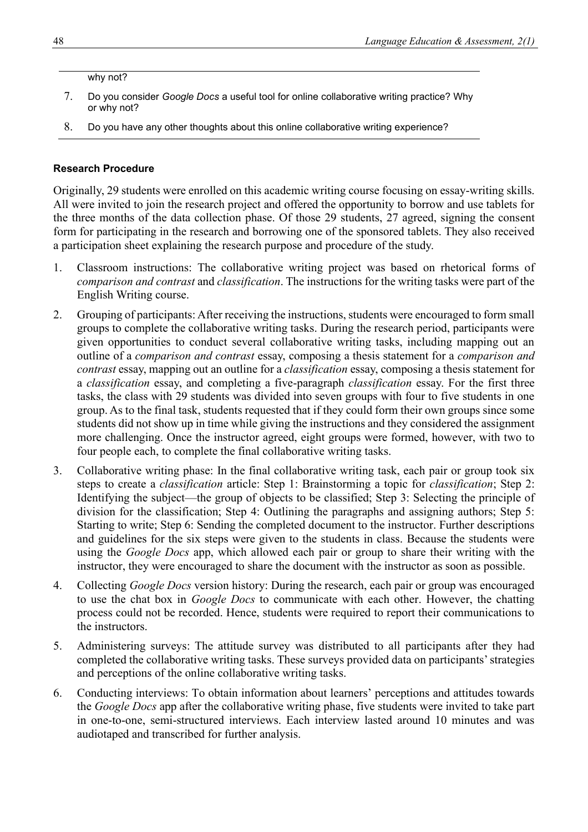#### why not?

- 7. Do you consider *Google Docs* a useful tool for online collaborative writing practice? Why or why not?
- 8. Do you have any other thoughts about this online collaborative writing experience?

#### **Research Procedure**

Originally, 29 students were enrolled on this academic writing course focusing on essay-writing skills. All were invited to join the research project and offered the opportunity to borrow and use tablets for the three months of the data collection phase. Of those 29 students, 27 agreed, signing the consent form for participating in the research and borrowing one of the sponsored tablets. They also received a participation sheet explaining the research purpose and procedure of the study.

- 1. Classroom instructions: The collaborative writing project was based on rhetorical forms of *comparison and contrast* and *classification*. The instructions for the writing tasks were part of the English Writing course.
- 2. Grouping of participants: After receiving the instructions, students were encouraged to form small groups to complete the collaborative writing tasks. During the research period, participants were given opportunities to conduct several collaborative writing tasks, including mapping out an outline of a *comparison and contrast* essay, composing a thesis statement for a *comparison and contrast* essay, mapping out an outline for a *classification* essay, composing a thesis statement for a *classification* essay, and completing a five-paragraph *classification* essay. For the first three tasks, the class with 29 students was divided into seven groups with four to five students in one group. As to the final task, students requested that if they could form their own groups since some students did not show up in time while giving the instructions and they considered the assignment more challenging. Once the instructor agreed, eight groups were formed, however, with two to four people each, to complete the final collaborative writing tasks.
- 3. Collaborative writing phase: In the final collaborative writing task, each pair or group took six steps to create a *classification* article: Step 1: Brainstorming a topic for *classification*; Step 2: Identifying the subject—the group of objects to be classified; Step 3: Selecting the principle of division for the classification; Step 4: Outlining the paragraphs and assigning authors; Step 5: Starting to write; Step 6: Sending the completed document to the instructor. Further descriptions and guidelines for the six steps were given to the students in class. Because the students were using the *Google Docs* app, which allowed each pair or group to share their writing with the instructor, they were encouraged to share the document with the instructor as soon as possible.
- 4. Collecting *Google Docs* version history: During the research, each pair or group was encouraged to use the chat box in *Google Docs* to communicate with each other. However, the chatting process could not be recorded. Hence, students were required to report their communications to the instructors.
- 5. Administering surveys: The attitude survey was distributed to all participants after they had completed the collaborative writing tasks. These surveys provided data on participants' strategies and perceptions of the online collaborative writing tasks.
- 6. Conducting interviews: To obtain information about learners' perceptions and attitudes towards the *Google Docs* app after the collaborative writing phase, five students were invited to take part in one-to-one, semi-structured interviews. Each interview lasted around 10 minutes and was audiotaped and transcribed for further analysis.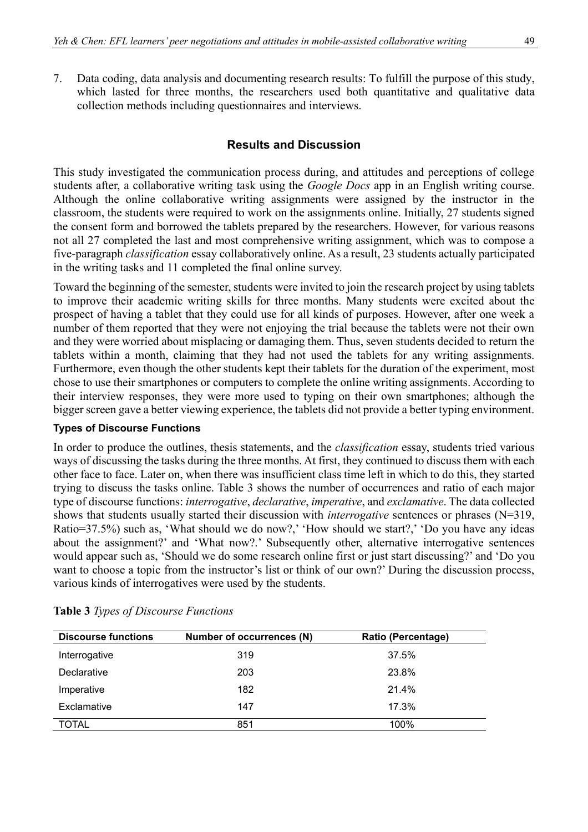7. Data coding, data analysis and documenting research results: To fulfill the purpose of this study, which lasted for three months, the researchers used both quantitative and qualitative data collection methods including questionnaires and interviews.

### **Results and Discussion**

This study investigated the communication process during, and attitudes and perceptions of college students after, a collaborative writing task using the *Google Docs* app in an English writing course. Although the online collaborative writing assignments were assigned by the instructor in the classroom, the students were required to work on the assignments online. Initially, 27 students signed the consent form and borrowed the tablets prepared by the researchers. However, for various reasons not all 27 completed the last and most comprehensive writing assignment, which was to compose a five-paragraph *classification* essay collaboratively online. As a result, 23 students actually participated in the writing tasks and 11 completed the final online survey.

Toward the beginning of the semester, students were invited to join the research project by using tablets to improve their academic writing skills for three months. Many students were excited about the prospect of having a tablet that they could use for all kinds of purposes. However, after one week a number of them reported that they were not enjoying the trial because the tablets were not their own and they were worried about misplacing or damaging them. Thus, seven students decided to return the tablets within a month, claiming that they had not used the tablets for any writing assignments. Furthermore, even though the other students kept their tablets for the duration of the experiment, most chose to use their smartphones or computers to complete the online writing assignments. According to their interview responses, they were more used to typing on their own smartphones; although the bigger screen gave a better viewing experience, the tablets did not provide a better typing environment.

#### **Types of Discourse Functions**

In order to produce the outlines, thesis statements, and the *classification* essay, students tried various ways of discussing the tasks during the three months. At first, they continued to discuss them with each other face to face. Later on, when there was insufficient class time left in which to do this, they started trying to discuss the tasks online. Table 3 shows the number of occurrences and ratio of each major type of discourse functions: *interrogative*, *declarative*, *imperative*, and *exclamative*. The data collected shows that students usually started their discussion with *interrogative* sentences or phrases (N=319, Ratio=37.5%) such as, 'What should we do now?,' 'How should we start?,' 'Do you have any ideas about the assignment?' and 'What now?.' Subsequently other, alternative interrogative sentences would appear such as, 'Should we do some research online first or just start discussing?' and 'Do you want to choose a topic from the instructor's list or think of our own?' During the discussion process, various kinds of interrogatives were used by the students.

| <b>Discourse functions</b> | Number of occurrences (N) | <b>Ratio (Percentage)</b> |
|----------------------------|---------------------------|---------------------------|
| Interrogative              | 319                       | 37.5%                     |
| Declarative                | 203                       | 23.8%                     |
| Imperative                 | 182                       | 21.4%                     |
| Exclamative                | 147                       | 17.3%                     |
| <b>TOTAL</b>               | 851                       | 100%                      |

|  |  | Table 3 Types of Discourse Functions |  |
|--|--|--------------------------------------|--|
|--|--|--------------------------------------|--|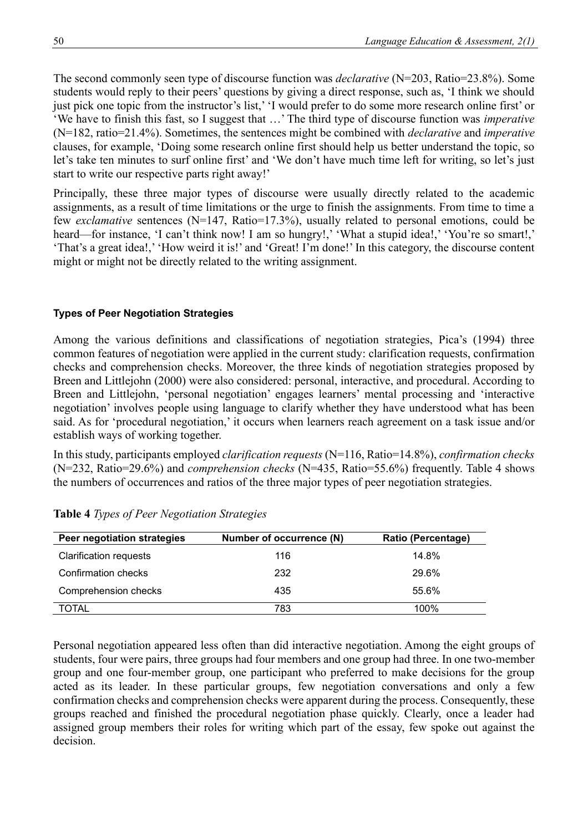The second commonly seen type of discourse function was *declarative* (N=203, Ratio=23.8%). Some students would reply to their peers' questions by giving a direct response, such as, 'I think we should just pick one topic from the instructor's list,' 'I would prefer to do some more research online first' or 'We have to finish this fast, so I suggest that …' The third type of discourse function was *imperative* (N=182, ratio=21.4%). Sometimes, the sentences might be combined with *declarative* and *imperative* clauses, for example, 'Doing some research online first should help us better understand the topic, so let's take ten minutes to surf online first' and 'We don't have much time left for writing, so let's just start to write our respective parts right away!'

Principally, these three major types of discourse were usually directly related to the academic assignments, as a result of time limitations or the urge to finish the assignments. From time to time a few *exclamative* sentences (N=147, Ratio=17.3%), usually related to personal emotions, could be heard—for instance, 'I can't think now! I am so hungry!,' 'What a stupid idea!,' 'You're so smart!,' 'That's a great idea!,' 'How weird it is!' and 'Great! I'm done!' In this category, the discourse content might or might not be directly related to the writing assignment.

## **Types of Peer Negotiation Strategies**

Among the various definitions and classifications of negotiation strategies, Pica's (1994) three common features of negotiation were applied in the current study: clarification requests, confirmation checks and comprehension checks. Moreover, the three kinds of negotiation strategies proposed by Breen and Littlejohn (2000) were also considered: personal, interactive, and procedural. According to Breen and Littlejohn, 'personal negotiation' engages learners' mental processing and 'interactive negotiation' involves people using language to clarify whether they have understood what has been said. As for 'procedural negotiation,' it occurs when learners reach agreement on a task issue and/or establish ways of working together.

In this study, participants employed *clarification requests* (N=116, Ratio=14.8%), *confirmation checks* (N=232, Ratio=29.6%) and *comprehension checks* (N=435, Ratio=55.6%) frequently. Table 4 shows the numbers of occurrences and ratios of the three major types of peer negotiation strategies.

| Peer negotiation strategies   | Number of occurrence (N) | Ratio (Percentage) |
|-------------------------------|--------------------------|--------------------|
| <b>Clarification requests</b> | 116                      | 14.8%              |
| Confirmation checks           | 232                      | 29.6%              |
| Comprehension checks          | 435                      | 55.6%              |
| TOTAL                         | 783                      | 100%               |

**Table 4** *Types of Peer Negotiation Strategies*

Personal negotiation appeared less often than did interactive negotiation. Among the eight groups of students, four were pairs, three groups had four members and one group had three. In one two-member group and one four-member group, one participant who preferred to make decisions for the group acted as its leader. In these particular groups, few negotiation conversations and only a few confirmation checks and comprehension checks were apparent during the process. Consequently, these groups reached and finished the procedural negotiation phase quickly. Clearly, once a leader had assigned group members their roles for writing which part of the essay, few spoke out against the decision.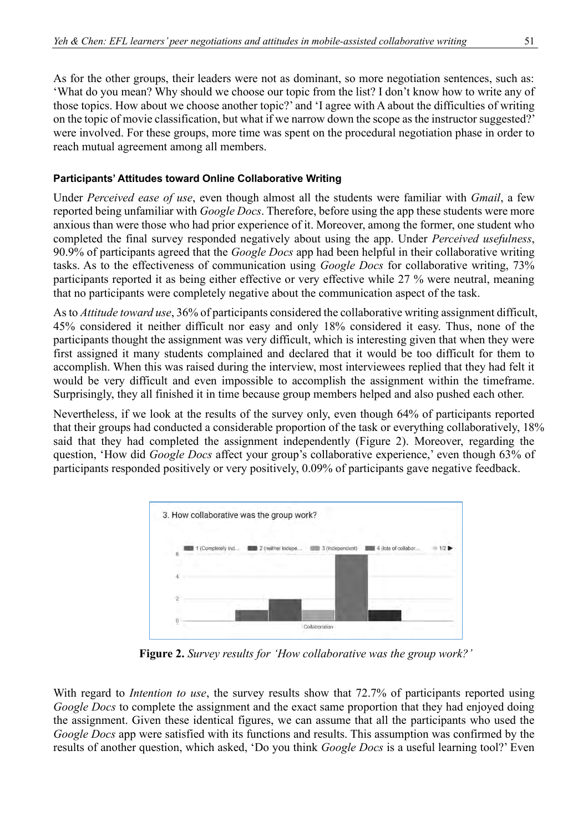As for the other groups, their leaders were not as dominant, so more negotiation sentences, such as: 'What do you mean? Why should we choose our topic from the list? I don't know how to write any of those topics. How about we choose another topic?' and 'I agree with A about the difficulties of writing on the topic of movie classification, but what if we narrow down the scope as the instructor suggested?' were involved. For these groups, more time was spent on the procedural negotiation phase in order to reach mutual agreement among all members.

# **Participants' Attitudes toward Online Collaborative Writing**

Under *Perceived ease of use*, even though almost all the students were familiar with *Gmail*, a few reported being unfamiliar with *Google Docs*. Therefore, before using the app these students were more anxious than were those who had prior experience of it. Moreover, among the former, one student who completed the final survey responded negatively about using the app. Under *Perceived usefulness*, 90.9% of participants agreed that the *Google Docs* app had been helpful in their collaborative writing tasks. As to the effectiveness of communication using *Google Docs* for collaborative writing, 73% participants reported it as being either effective or very effective while 27 % were neutral, meaning that no participants were completely negative about the communication aspect of the task.

As to *Attitude toward use*, 36% of participants considered the collaborative writing assignment difficult, 45% considered it neither difficult nor easy and only 18% considered it easy. Thus, none of the participants thought the assignment was very difficult, which is interesting given that when they were first assigned it many students complained and declared that it would be too difficult for them to accomplish. When this was raised during the interview, most interviewees replied that they had felt it would be very difficult and even impossible to accomplish the assignment within the timeframe. Surprisingly, they all finished it in time because group members helped and also pushed each other.

Nevertheless, if we look at the results of the survey only, even though 64% of participants reported that their groups had conducted a considerable proportion of the task or everything collaboratively, 18% said that they had completed the assignment independently (Figure 2). Moreover, regarding the question, 'How did *Google Docs* affect your group's collaborative experience,' even though 63% of participants responded positively or very positively, 0.09% of participants gave negative feedback.



**Figure 2.** *Survey results for 'How collaborative was the group work?'*

With regard to *Intention to use*, the survey results show that 72.7% of participants reported using *Google Docs* to complete the assignment and the exact same proportion that they had enjoyed doing the assignment. Given these identical figures, we can assume that all the participants who used the *Google Docs* app were satisfied with its functions and results. This assumption was confirmed by the results of another question, which asked, 'Do you think *Google Docs* is a useful learning tool?' Even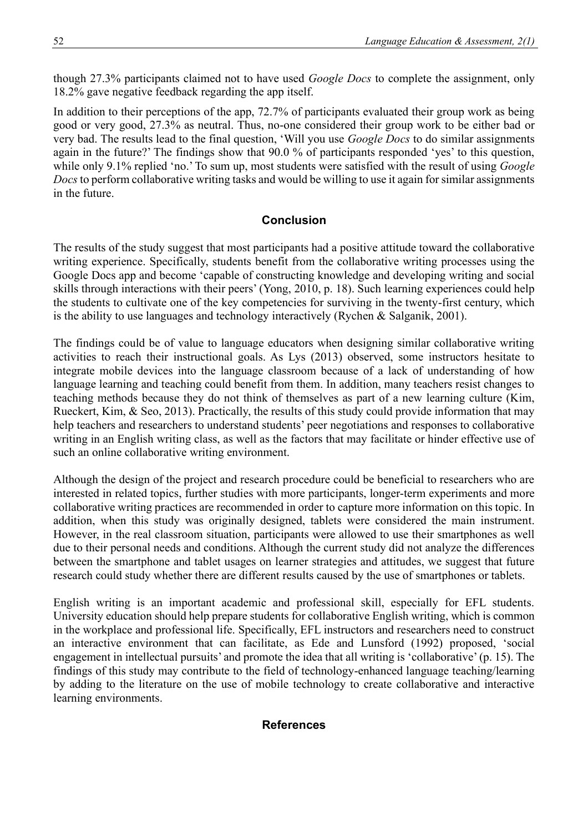though 27.3% participants claimed not to have used *Google Docs* to complete the assignment, only 18.2% gave negative feedback regarding the app itself.

In addition to their perceptions of the app, 72.7% of participants evaluated their group work as being good or very good, 27.3% as neutral. Thus, no-one considered their group work to be either bad or very bad. The results lead to the final question, 'Will you use *Google Docs* to do similar assignments again in the future?' The findings show that 90.0 % of participants responded 'yes' to this question, while only 9.1% replied 'no.' To sum up, most students were satisfied with the result of using *Google Docs* to perform collaborative writing tasks and would be willing to use it again for similar assignments in the future.

## **Conclusion**

The results of the study suggest that most participants had a positive attitude toward the collaborative writing experience. Specifically, students benefit from the collaborative writing processes using the Google Docs app and become 'capable of constructing knowledge and developing writing and social skills through interactions with their peers' (Yong, 2010, p. 18). Such learning experiences could help the students to cultivate one of the key competencies for surviving in the twenty-first century, which is the ability to use languages and technology interactively (Rychen & Salganik, 2001).

The findings could be of value to language educators when designing similar collaborative writing activities to reach their instructional goals. As Lys (2013) observed, some instructors hesitate to integrate mobile devices into the language classroom because of a lack of understanding of how language learning and teaching could benefit from them. In addition, many teachers resist changes to teaching methods because they do not think of themselves as part of a new learning culture (Kim, Rueckert, Kim, & Seo, 2013). Practically, the results of this study could provide information that may help teachers and researchers to understand students' peer negotiations and responses to collaborative writing in an English writing class, as well as the factors that may facilitate or hinder effective use of such an online collaborative writing environment.

Although the design of the project and research procedure could be beneficial to researchers who are interested in related topics, further studies with more participants, longer-term experiments and more collaborative writing practices are recommended in order to capture more information on this topic. In addition, when this study was originally designed, tablets were considered the main instrument. However, in the real classroom situation, participants were allowed to use their smartphones as well due to their personal needs and conditions. Although the current study did not analyze the differences between the smartphone and tablet usages on learner strategies and attitudes, we suggest that future research could study whether there are different results caused by the use of smartphones or tablets.

English writing is an important academic and professional skill, especially for EFL students. University education should help prepare students for collaborative English writing, which is common in the workplace and professional life. Specifically, EFL instructors and researchers need to construct an interactive environment that can facilitate, as Ede and Lunsford (1992) proposed, 'social engagement in intellectual pursuits' and promote the idea that all writing is 'collaborative' (p. 15). The findings of this study may contribute to the field of technology-enhanced language teaching/learning by adding to the literature on the use of mobile technology to create collaborative and interactive learning environments.

#### **References**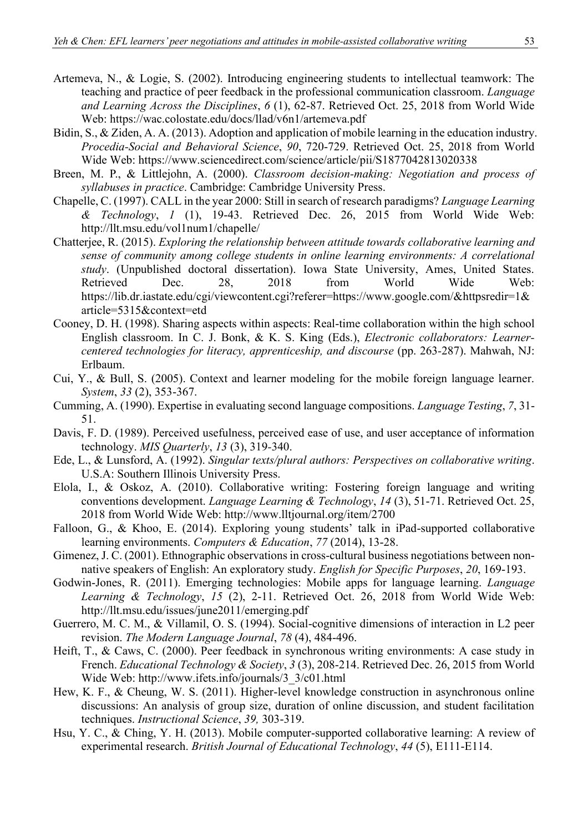- Artemeva, N., & Logie, S. (2002). Introducing engineering students to intellectual teamwork: The teaching and practice of peer feedback in the professional communication classroom. *Language and Learning Across the Disciplines*, *6* (1), 62-87. Retrieved Oct. 25, 2018 from World Wide Web: https://wac.colostate.edu/docs/llad/v6n1/artemeva.pdf
- Bidin, S., & Ziden, A. A. (2013). Adoption and application of mobile learning in the education industry. *Procedia-Social and Behavioral Science*, *90*, 720-729. Retrieved Oct. 25, 2018 from World Wide Web: https://www.sciencedirect.com/science/article/pii/S1877042813020338
- Breen, M. P., & Littlejohn, A. (2000). *Classroom decision-making: Negotiation and process of syllabuses in practice*. Cambridge: Cambridge University Press.
- Chapelle, C. (1997). CALL in the year 2000: Still in search of research paradigms? *Language Learning & Technology*, *1* (1), 19-43. Retrieved Dec. 26, 2015 from World Wide Web: http://llt.msu.edu/vol1num1/chapelle/
- Chatterjee, R. (2015). *Exploring the relationship between attitude towards collaborative learning and sense of community among college students in online learning environments: A correlational study*. (Unpublished doctoral dissertation). Iowa State University, Ames, United States.<br>Retrieved Dec. 28, 2018 from World Wide Web: Retrieved Dec. 28, 2018 from World Wide Web: https://lib.dr.iastate.edu/cgi/viewcontent.cgi?referer=https://www.google.com/&httpsredir=1& article=5315&context=etd
- Cooney, D. H. (1998). Sharing aspects within aspects: Real-time collaboration within the high school English classroom. In C. J. Bonk, & K. S. King (Eds.), *Electronic collaborators: Learnercentered technologies for literacy, apprenticeship, and discourse* (pp. 263*-*287). Mahwah, NJ: Erlbaum.
- Cui, Y., & Bull, S. (2005). Context and learner modeling for the mobile foreign language learner. *System*, *33* (2), 353-367.
- Cumming, A. (1990). Expertise in evaluating second language compositions. *Language Testing*, *7*, 31- 51.
- Davis, F. D. (1989). Perceived usefulness, perceived ease of use, and user acceptance of information technology. *MIS Quarterly*, *13* (3), 319*-*340.
- Ede, L., & Lunsford, A. (1992). *Singular texts/plural authors: Perspectives on collaborative writing*. U.S.A: Southern Illinois University Press.
- Elola, I., & Oskoz, A. (2010). Collaborative writing: Fostering foreign language and writing conventions development. *Language Learning & Technology*, *14* (3), 51-71. Retrieved Oct. 25, 2018 from World Wide Web: http://www.lltjournal.org/item/2700
- Falloon, G., & Khoo, E. (2014). Exploring young students' talk in iPad-supported collaborative learning environments. *Computers & Education*, *77* (2014), 13-28.
- Gimenez, J. C. (2001). Ethnographic observations in cross-cultural business negotiations between nonnative speakers of English: An exploratory study. *English for Specific Purposes*, *20*, 169-193.
- Godwin-Jones, R. (2011). Emerging technologies: Mobile apps for language learning. *Language Learning & Technology*, *15* (2), 2-11. Retrieved Oct. 26, 2018 from World Wide Web: http://llt.msu.edu/issues/june2011/emerging.pdf
- Guerrero, M. C. M., & Villamil, O. S. (1994). Social-cognitive dimensions of interaction in L2 peer revision. *The Modern Language Journal*, *78* (4), 484-496.
- Heift, T., & Caws, C. (2000). Peer feedback in synchronous writing environments: A case study in French. *Educational Technology & Society*, *3* (3), 208-214. Retrieved Dec. 26, 2015 from World Wide Web: http://www.ifets.info/journals/3\_3/c01.html
- Hew, K. F., & Cheung, W. S. (2011). Higher-level knowledge construction in asynchronous online discussions: An analysis of group size, duration of online discussion, and student facilitation techniques. *Instructional Science*, *39,* 303-319.
- Hsu, Y. C., & Ching, Y. H. (2013). Mobile computer-supported collaborative learning: A review of experimental research. *British Journal of Educational Technology*, *44* (5), E111-E114.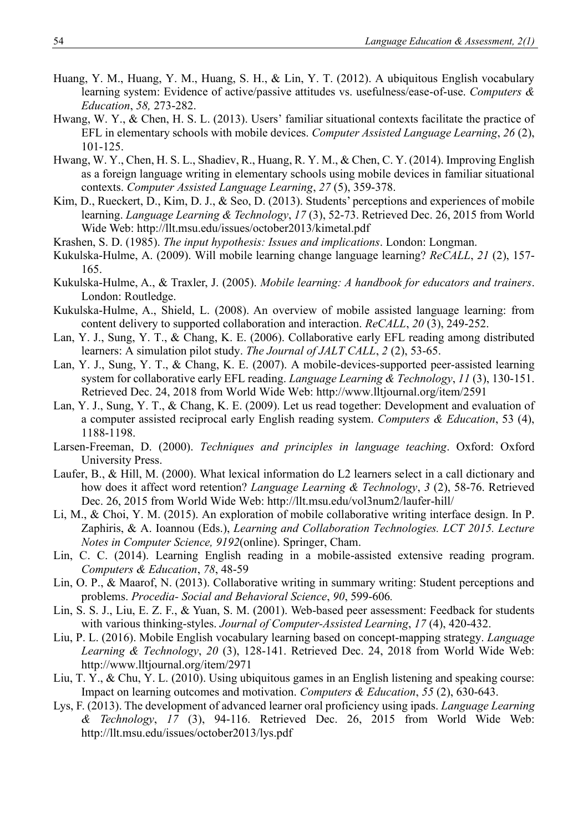- Huang, Y. M., Huang, Y. M., Huang, S. H., & Lin, Y. T. (2012). A ubiquitous English vocabulary learning system: Evidence of active/passive attitudes vs. usefulness/ease-of-use. *Computers & Education*, *58,* 273-282.
- Hwang, W. Y., & Chen, H. S. L. (2013). Users' familiar situational contexts facilitate the practice of EFL in elementary schools with mobile devices. *Computer Assisted Language Learning*, *26* (2), 101-125.
- Hwang, W. Y., Chen, H. S. L., Shadiev, R., Huang, R. Y. M., & Chen, C. Y. (2014). Improving English as a foreign language writing in elementary schools using mobile devices in familiar situational contexts. *Computer Assisted Language Learning*, *27* (5), 359-378.
- Kim, D., Rueckert, D., Kim, D. J., & Seo, D. (2013). Students' perceptions and experiences of mobile learning. *Language Learning & Technology*, *17* (3), 52-73. Retrieved Dec. 26, 2015 from World Wide Web: http://llt.msu.edu/issues/october2013/kimetal.pdf
- Krashen, S. D. (1985). *The input hypothesis: Issues and implications*. London: Longman.
- Kukulska-Hulme, A. (2009). Will mobile learning change language learning? *ReCALL*, *21* (2), 157- 165.
- Kukulska-Hulme, A., & Traxler, J. (2005). *Mobile learning: A handbook for educators and trainers*. London: Routledge.
- Kukulska-Hulme, A., Shield, L. (2008). An overview of mobile assisted language learning: from content delivery to supported collaboration and interaction. *ReCALL*, *20* (3), 249-252.
- Lan, Y. J., Sung, Y. T., & Chang, K. E. (2006). Collaborative early EFL reading among distributed learners: A simulation pilot study. *The Journal of JALT CALL*, *2* (2), 53-65.
- Lan, Y. J., Sung, Y. T., & Chang, K. E. (2007). A mobile-devices-supported peer-assisted learning system for collaborative early EFL reading. *Language Learning & Technology*, *11* (3), 130-151. Retrieved Dec. 24, 2018 from World Wide Web: http://www.lltjournal.org/item/2591
- Lan, Y. J., Sung, Y. T., & Chang, K. E. (2009). Let us read together: Development and evaluation of a computer assisted reciprocal early English reading system. *Computers & Education*, 53 (4), 1188-1198.
- Larsen-Freeman, D. (2000). *Techniques and principles in language teaching*. Oxford: Oxford University Press.
- Laufer, B., & Hill, M. (2000). What lexical information do L2 learners select in a call dictionary and how does it affect word retention? *Language Learning & Technology*, *3* (2), 58-76. Retrieved Dec. 26, 2015 from World Wide Web: http://llt.msu.edu/vol3num2/laufer-hill/
- Li, M., & Choi, Y. M. (2015). An exploration of mobile collaborative writing interface design. In P. Zaphiris, & A. Ioannou (Eds.), *Learning and Collaboration Technologies. LCT 2015. Lecture Notes in Computer Science, 9192*(online). Springer, Cham.
- Lin, C. C. (2014). Learning English reading in a mobile-assisted extensive reading program. *Computers & Education*, *78*, 48-59
- Lin, O. P., & Maarof, N. (2013). Collaborative writing in summary writing: Student perceptions and problems. *Procedia- Social and Behavioral Science*, *90*, 599-606*.*
- Lin, S. S. J., Liu, E. Z. F., & Yuan, S. M. (2001). Web-based peer assessment: Feedback for students with various thinking-styles. *Journal of Computer-Assisted Learning*, *17* (4), 420-432.
- Liu, P. L. (2016). Mobile English vocabulary learning based on concept-mapping strategy. *Language Learning & Technology*, *20* (3), 128-141. Retrieved Dec. 24, 2018 from World Wide Web: http://www.lltjournal.org/item/2971
- Liu, T. Y., & Chu, Y. L. (2010). Using ubiquitous games in an English listening and speaking course: Impact on learning outcomes and motivation. *Computers & Education*, *55* (2), 630-643.
- Lys, F. (2013). The development of advanced learner oral proficiency using ipads. *Language Learning & Technology*, *17* (3), 94-116. Retrieved Dec. 26, 2015 from World Wide Web: http://llt.msu.edu/issues/october2013/lys.pdf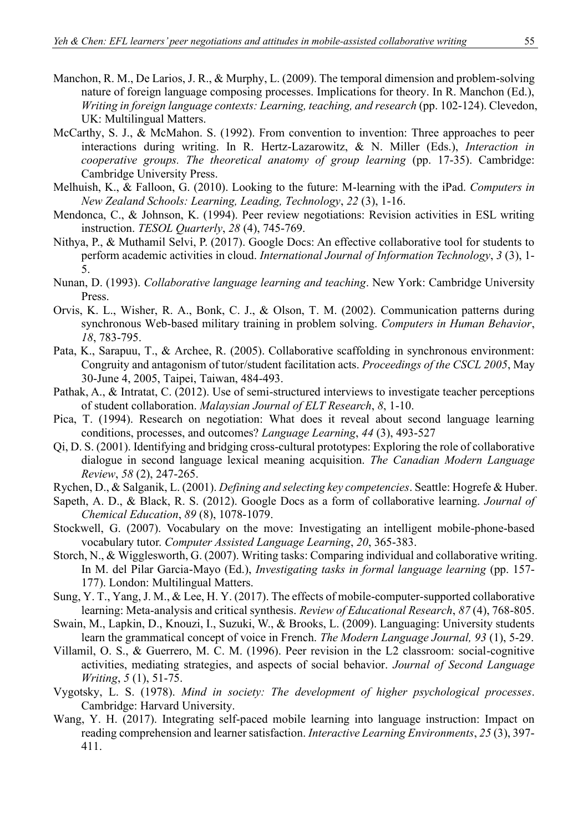- Manchon, R. M., De Larios, J. R., & Murphy, L. (2009). The temporal dimension and problem-solving nature of foreign language composing processes. Implications for theory. In R. Manchon (Ed.), *Writing in foreign language contexts: Learning, teaching, and research* (pp. 102-124). Clevedon, UK: Multilingual Matters.
- McCarthy, S. J., & McMahon. S. (1992). From convention to invention: Three approaches to peer interactions during writing. In R. Hertz-Lazarowitz, & N. Miller (Eds.), *Interaction in cooperative groups. The theoretical anatomy of group learning* (pp. 17-35). Cambridge: Cambridge University Press.
- Melhuish, K., & Falloon, G. (2010). Looking to the future: M-learning with the iPad. *Computers in New Zealand Schools: Learning, Leading, Technology*, *22* (3), 1-16.
- Mendonca, C., & Johnson, K. (1994). Peer review negotiations: Revision activities in ESL writing instruction. *TESOL Quarterly*, *28* (4), 745-769.
- Nithya, P., & Muthamil Selvi, P. (2017). Google Docs: An effective collaborative tool for students to perform academic activities in cloud. *International Journal of Information Technology*, *3* (3), 1- 5.
- Nunan, D. (1993). *Collaborative language learning and teaching*. New York: Cambridge University Press.
- Orvis, K. L., Wisher, R. A., Bonk, C. J., & Olson, T. M. (2002). Communication patterns during synchronous Web-based military training in problem solving. *Computers in Human Behavior*, *18*, 783-795.
- Pata, K., Sarapuu, T., & Archee, R. (2005). Collaborative scaffolding in synchronous environment: Congruity and antagonism of tutor/student facilitation acts. *Proceedings of the CSCL 2005*, May 30-June 4, 2005, Taipei, Taiwan, 484-493.
- Pathak, A., & Intratat, C. (2012). Use of semi-structured interviews to investigate teacher perceptions of student collaboration. *Malaysian Journal of ELT Research*, *8*, 1-10.
- Pica, T. (1994). Research on negotiation: What does it reveal about second language learning conditions, processes, and outcomes? *Language Learning*, *44* (3), 493-527
- Qi, D. S. (2001). Identifying and bridging cross-cultural prototypes: Exploring the role of collaborative dialogue in second language lexical meaning acquisition. *The Canadian Modern Language Review*, *58* (2), 247-265.
- Rychen, D., & Salganik, L. (2001). *Defining and selecting key competencies*. Seattle: Hogrefe & Huber.
- Sapeth, A. D., & Black, R. S. (2012). Google Docs as a form of collaborative learning. *Journal of Chemical Education*, *89* (8), 1078-1079.
- Stockwell, G. (2007). Vocabulary on the move: Investigating an intelligent mobile-phone-based vocabulary tutor. *Computer Assisted Language Learning*, *20*, 365-383.
- Storch, N., & Wigglesworth, G. (2007). Writing tasks: Comparing individual and collaborative writing. In M. del Pilar Garcia-Mayo (Ed.), *Investigating tasks in formal language learning* (pp. 157- 177). London: Multilingual Matters.
- Sung, Y. T., Yang, J. M., & Lee, H. Y. (2017). The effects of mobile-computer-supported collaborative learning: Meta-analysis and critical synthesis. *Review of Educational Research*, *87* (4), 768-805.
- Swain, M., Lapkin, D., Knouzi, I., Suzuki, W., & Brooks, L. (2009). Languaging: University students learn the grammatical concept of voice in French. *The Modern Language Journal, 93* (1), 5-29.
- Villamil, O. S., & Guerrero, M. C. M. (1996). Peer revision in the L2 classroom: social-cognitive activities, mediating strategies, and aspects of social behavior. *Journal of Second Language Writing*, *5* (1), 51-75.
- Vygotsky, L. S. (1978). *Mind in society: The development of higher psychological processes*. Cambridge: Harvard University.
- Wang, Y. H. (2017). Integrating self-paced mobile learning into language instruction: Impact on reading comprehension and learner satisfaction. *Interactive Learning Environments*, *25* (3), 397- 411.